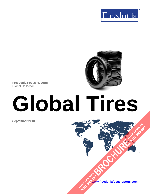



**Freedonia Focus Reports** Global Collection

# **Global Tires**

**September 2018**

**[www.freedoniafocusreports.com](https://www.freedoniafocusreports.com/redirect.asp?progid=89534&url=/)** CLICK TO ORDER **FULL REPORT** 

**[BROCHURE](https://www.freedoniafocusreports.com/Global-Tires-FW50014/?progid=89541) CLICK TO ORDER** 

**FULL REPORT**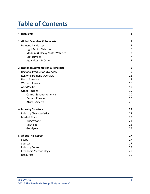# **Table of Contents**

| 1. Highlights                        | 3              |
|--------------------------------------|----------------|
| 2. Global Overview & Forecasts       | 5              |
| Demand by Market                     | 5              |
| <b>Light Motor Vehicles</b>          | 6              |
| Medium & Heavy Motor Vehicles        | $\overline{7}$ |
| Motorcycles                          | $\overline{7}$ |
| Agricultural & Other                 | $\overline{7}$ |
| 3. Regional Segmentation & Forecasts | 9              |
| <b>Regional Production Overview</b>  | 9              |
| <b>Regional Demand Overview</b>      | 11             |
| North America                        | 13             |
| Western Europe                       | 15             |
| Asia/Pacific                         | 17             |
| <b>Other Regions</b>                 | 19             |
| Central & South America              | 20             |
| Eastern Europe                       | 20             |
| Africa/Mideast                       | 20             |
| 4. Industry Structure                | 22             |
| <b>Industry Characteristics</b>      | 22             |
| <b>Market Share</b>                  | 23             |
| Bridgestone                          | 24             |
| Michelin                             | 25             |
| Goodyear                             | 25             |
| 5. About This Report                 | 27             |
| Scope                                | 27             |
| Sources                              | 27             |
| <b>Industry Codes</b>                | 28             |
| Freedonia Methodology                | 29             |
| Resources                            | 30             |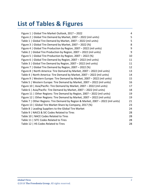# **List of Tables & Figures**

| Figure 1   Global Tire Market Outlook, 2017 - 2022                               | 4  |
|----------------------------------------------------------------------------------|----|
| Figure 2   Global Tire Demand by Market, 2007 - 2022 (mil units)                 | 5  |
| Table 1   Global Tire Demand by Market, 2007 - 2022 (mil units)                  | 5  |
| Figure 3   Global Tire Demand by Market, 2007 - 2022 (%)                         | 8  |
| Figure 4   Global Tire Production by Region, 2007 - 2022 (mil units)             | 9  |
| Table 2   Global Tire Production by Region, 2007 - 2022 (mil units)              | 9  |
| Figure 5   Global Tire Production by Region, 2007 - 2022 (%)                     | 10 |
| Figure 6   Global Tire Demand by Region, 2007 - 2022 (mil units)                 | 11 |
| Table 3   Global Tire Demand by Region, 2007 - 2022 (mil units)                  | 11 |
| Figure 7   Global Tire Demand by Region, 2007 – 2022 (%)                         | 12 |
| Figure 8   North America: Tire Demand by Market, 2007 - 2022 (mil units)         | 13 |
| Table 4   North America: Tire Demand by Market, 2007 - 2022 (mil units)          | 14 |
| Figure 9   Western Europe: Tire Demand by Market, 2007 - 2022 (mil units)        | 15 |
| Table 5   Western Europe: Tire Demand by Market, 2007 - 2022 (mil units)         | 16 |
| Figure 10   Asia/Pacific: Tire Demand by Market, 2007 - 2022 (mil units)         | 17 |
| Table 6   Asia/Pacific: Tire Demand by Market, 2007 - 2022 (mil units)           | 18 |
| Figure 11   Other Regions: Tire Demand by Region, 2007 - 2022 (mil units)        | 19 |
| Figure 12   Other Regions: Tire Demand by Market, 2007 - 2022 (mil units)        | 19 |
| Table 7   Other Regions: Tire Demand by Region & Market, 2007 - 2022 (mil units) | 21 |
| Figure 13   Global Tire Market Share by Company, 2017 (%)                        | 23 |
| Table 8   Leading Suppliers to the Global Tire Market                            | 24 |
| Table 9   NAICS & SIC Codes Related to Tires                                     | 28 |
| Table 10   NACE Codes Related to Tires                                           | 28 |
| Table 11   SITC Codes Related to Tires                                           | 28 |
| Table 12   HS Codes Related to Tires                                             | 28 |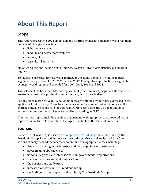# <span id="page-3-0"></span>**About This Report**

# <span id="page-3-1"></span>**Scope**

This report forecasts to 2022 global demand for tires by market and major world region in units. Market segments include:

- light motor vehicles
- medium and heavy motor vehicles
- motorcycles
- agricultural and other

Major world regions include North America, Western Europe, Asia/Pacific, and all other regions.

To illustrate historical trends, world, market, and regional demand (including market segments) are provided for 2007, 2012, and 2017. Finally, global production is segmented by major world region and provided for 2007, 2012, 2017, and 2022.

Tire sales include both the OEM and replacement (or aftermarket) segments. Retread tires are excluded from tire production and sales data, as are bicycle tires.

For any given historical year, US dollar amounts are obtained from values expressed in the applicable local currency. These local currency values are converted to US dollars at the average annual exchange rate for that year. For forecast years, the US dollar amounts assume the same annual exchange rate as that prevailing in 2017.

Other various topics, including profiles of pertinent leading suppliers, are covered in this report. A full outline of report items by page is available in the Table of Contents.

# <span id="page-3-2"></span>**Sources**

*Global Tires* (FW50014) is based on [a comprehensive industry study](http://www.freedoniagroup.com/DocumentDetails.aspx?ReferrerId=FL-FOCUS&studyid=3687) published by The Freedonia Group. Reported findings represent the synthesis and analysis of data from various primary, secondary, macroeconomic, and demographic sources including:

- firms participating in the industry, and their suppliers and customers
- government/public agencies
- national, regional, and international non-governmental organizations
- trade associations and their publications
- the business and trade press
- indicator forecasts by The Freedonia Group
- the findings of other reports and studies by The Freedonia Group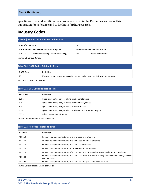#### **About This Report**

Specific sources and additional resources are listed in the Resources section of this publication for reference and to facilitate further research.

# <span id="page-4-0"></span>**Industry Codes**

<span id="page-4-1"></span>

| Table 9   NAICS & SIC Codes Related to Tires         |                                        |      |                                           |  |
|------------------------------------------------------|----------------------------------------|------|-------------------------------------------|--|
| <b>NAICS/SCIAN 2007</b><br><b>SIC</b>                |                                        |      |                                           |  |
| <b>North American Industry Classification System</b> |                                        |      | <b>Standard Industrial Classification</b> |  |
| 326211                                               | Tire manufacturing (except retreading) | 3011 | Tires and inner tubes                     |  |

Source: US Census Bureau

<span id="page-4-2"></span>

| Table 10   NACE Codes Related to Tires |                                                                                  |  |
|----------------------------------------|----------------------------------------------------------------------------------|--|
| NACE Code                              | <b>Definition</b>                                                                |  |
| 2211                                   | Manufacture of rubber tyres and tubes; retreading and rebuilding of rubber tyres |  |

Source: European Commission

<span id="page-4-3"></span>

| <b>Table 11   SITC Codes Related to Tires</b> |                                                                   |  |
|-----------------------------------------------|-------------------------------------------------------------------|--|
| <b>SITC Code</b>                              | <b>Definition</b>                                                 |  |
| 6251                                          | Tyres, pneumatic, new, of a kind used on motor cars               |  |
| 6252                                          | Tyres, pneumatic, new, of a kind used on buses/lorries            |  |
| 6253                                          | Tyres, pneumatic, new, of a kind used on aircraft                 |  |
| 6254                                          | Tyres, pneumatic, new, of a kind used on motorcycles and bicycles |  |
| 6255                                          | Other new pneumatic tyres                                         |  |

Source: United Nations Statistics Division

<span id="page-4-4"></span>

| Table 12   HS Codes Related to Tires |                                                                                                                      |  |
|--------------------------------------|----------------------------------------------------------------------------------------------------------------------|--|
| <b>HS Code</b>                       | <b>Definition</b>                                                                                                    |  |
| 401110                               | Rubber; new pneumatic tyres, of a kind used on motor cars                                                            |  |
| 401120                               | Rubber; new pneumatic tyres, of a kind used on busses or lorries                                                     |  |
| 401130                               | Rubber; new pneumatic tyres, of a kind use on aircraft                                                               |  |
| 401140                               | Rubber; new pneumatic tyres of a kind used on motorcycles                                                            |  |
| 401170                               | Rubber; new pneumatic tyres, of a kind used on agricultural or forestry vehicles and machines                        |  |
| 401180                               | Rubber; new pneumatic tyres, of a kind used on construction, mining, or industrial handling vehicles<br>and machines |  |
| 401190                               | Rubber; new pneumatic tyres, of a kind used on light commercial vehicles                                             |  |

Source: United Nations Statistics Division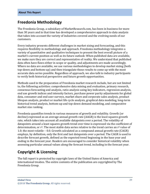## <span id="page-5-0"></span>**Freedonia Methodology**

The Freedonia Group, a subsidiary of MarketResearch.com, has been in business for more than 30 years and in that time has developed a comprehensive approach to data analysis that takes into account the variety of industries covered and the evolving needs of our customers.

Every industry presents different challenges in market sizing and forecasting, and this requires flexibility in methodology and approach. Freedonia methodology integrates a variety of quantitative and qualitative techniques to present the best overall picture of a market's current position as well as its future outlook: When published data are available, we make sure they are correct and representative of reality. We understand that published data often have flaws either in scope or quality, and adjustments are made accordingly. Where no data are available, we use various methodologies to develop market sizing (both top-down and bottom-up) and then triangulate those results to come up with the most accurate data series possible. Regardless of approach, we also talk to industry participants to verify both historical perspective and future growth opportunities.

Methods used in the preparation of Freedonia market research include, but are not limited to, the following activities: comprehensive data mining and evaluation, primary research, consensus forecasting and analysis, ratio analysis using key indicators, regression analysis, end use growth indices and intensity factors, purchase power parity adjustments for global data, consumer and end user surveys, market share and corporate sales analysis, product lifespan analysis, product or market life cycle analysis, graphical data modeling, long-term historical trend analysis, bottom-up and top-down demand modeling, and comparative market size ranking.

Freedonia quantifies trends in various measures of growth and volatility. Growth (or decline) expressed as an average annual growth rate (AAGR) is the least squares growth rate, which takes into account all available datapoints over a period. The volatility of datapoints around a least squares growth trend over time is expressed via the coefficient of determination, or  $r^2$ . The most stable data series relative to the trend carries an  $r^2$  value of 1.0; the most volatile – 0.0. Growth calculated as a compound annual growth rate (CAGR) employs, by definition, only the first and last datapoints over a period. The CAGR is used to describe forecast growth, defined as the expected trend beginning in the base year and ending in the forecast year. Readers are encouraged to consider historical volatility when assessing particular annual values along the forecast trend, including in the forecast year.

# **Copyright & Licensing**

The full report is protected by copyright laws of the United States of America and international treaties. The entire contents of the publication are copyrighted by The Freedonia Group.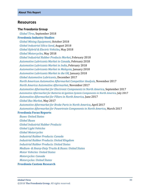## <span id="page-6-0"></span>**Resources**

#### **The Freedonia Group**

 *[Global Tires,](http://www.freedoniagroup.com/DocumentDetails.aspx?ReferrerId=FL-FOCUS&studyid=3687)* September 2018 **[Freedonia Industry Studies](http://www.freedoniagroup.com/Home.aspx?ReferrerId=FL-Focus)**  *[Global Mining Equipment](http://www.freedoniagroup.com/DocumentDetails.aspx?ReferrerId=FL-FOCUS&studyid=3629)*, October 2018  *[Global Industrial Silica Sand](http://www.freedoniagroup.com/DocumentDetails.aspx?ReferrerId=FL-FOCUS&studyid=3664)*, August 2018  *[Global Hybrid & Electric Vehicles](http://www.freedoniagroup.com/DocumentDetails.aspx?ReferrerId=FL-FOCUS&studyid=3627)*, May 2018  *[Global Motorcycles](http://www.freedoniagroup.com/DocumentDetails.aspx?ReferrerId=FL-FOCUS&studyid=3634)*, May 2018  *[Global Industrial Rubber Products Market](http://www.freedoniagroup.com/DocumentDetails.aspx?ReferrerId=FL-FOCUS&studyid=3605)*, February 2018  *[Automotive Lubricants Market in Canada](http://www.freedoniagroup.com/DocumentDetails.aspx?ReferrerId=FL-FOCUS&studyid=3621)*, February 2018  *[Automotive Lubricants Market in India](http://www.freedoniagroup.com/DocumentDetails.aspx?ReferrerId=FL-FOCUS&studyid=3619)*, February 2018  *[Automotive Lubricants Market in Malaysia](http://www.freedoniagroup.com/DocumentDetails.aspx?ReferrerId=FL-FOCUS&studyid=3600)*, January 2018  *[Automotive Lubricants Market in the UK](http://www.freedoniagroup.com/DocumentDetails.aspx?ReferrerId=FL-FOCUS&studyid=3607)*, January 2018  *[Global Automotive Lubricants](http://www.freedoniagroup.com/DocumentDetails.aspx?ReferrerId=FL-FOCUS&studyid=3583)*, December 2017  *[North American Automotive Aftermarket Competitor Analysis](http://www.freedoniagroup.com/DocumentDetails.aspx?ReferrerId=FL-FOCUS&studyid=3578)*, November 2017 *[North America Automotive Aftermarket](http://www.freedoniagroup.com/DocumentDetails.aspx?ReferrerId=FL-FOCUS&studyid=3577)*, November 2017 *[Automotive Aftermarket for Electronic Components in North America,](http://www.freedoniagroup.com/DocumentDetails.aspx?ReferrerId=FL-FOCUS&studyid=3547)* September 2017 *[Automotive Aftermarket for Batteries & Ignition System Components in North](http://www.freedoniagroup.com/DocumentDetails.aspx?ReferrerId=FL-FOCUS&studyid=3548) America*, July 2017 *[Automotive Aftermarket for Filters in North America](http://www.freedoniagroup.com/DocumentDetails.aspx?ReferrerId=FL-FOCUS&studyid=3534)*, June 2017  *[Global Bus Market](http://www.freedoniagroup.com/DocumentDetails.aspx?ReferrerId=FL-FOCUS&studyid=3509)*, May 2017 *[Automotive Aftermarket for Brake Parts in North America](http://www.freedoniagroup.com/DocumentDetails.aspx?ReferrerId=FL-FOCUS&studyid=3512)*, April 2017 *[Automotive Aftermarket for Powertrain Components in North America](http://www.freedoniagroup.com/DocumentDetails.aspx?ReferrerId=FL-FOCUS&studyid=3505)*, March 2017 **[Freedonia Focus Reports](https://www.freedoniafocusreports.com/redirect.asp?progid=89534&url=/)**

 *[Buses: United States](https://www.freedoniafocusreports.com/Buses-United-States-FF85012/) [Global Buses](https://www.freedoniafocusreports.com/Global-Buses-FW85012/) [Global Industrial Rubber Products](https://www.freedoniafocusreports.com/Global-Industrial-Rubber-Products-FW50016/) [Global Light Vehicles](https://www.freedoniafocusreports.com/Global-Light-Vehicles-FW85015/) [Global Motorcycles](https://www.freedoniafocusreports.com/Global-Motorcycles-FW85016/) [Industrial Rubber Products: Canada](https://www.freedoniafocusreports.com/Industrial-Rubber-Products-Canada-FA50016/) [Industrial Rubber Products: United Kingdom](https://www.freedoniafocusreports.com/Industrial-Rubber-Products-United-Kingdom-FB50016/) [Industrial Rubber Products: United States](https://www.freedoniafocusreports.com/Industrial-Rubber-Products-United-States-FF50016/) Medium- [& Heavy-Duty Trucks & Buses: United States](https://www.freedoniafocusreports.com/Medium-Heavy-Duty-Trucks-Buses-United-States-FF85014/) [Motor Vehicles: United States](https://www.freedoniafocusreports.com/Motor-Vehicles-United-States-FF85029/) [Motorcycles: Canada](https://www.freedoniafocusreports.com/Motorcycles-Canada-FA85016/) [Motorcycles: United States](https://www.freedoniafocusreports.com/Motorcycles-United-States-FF85016/)*

#### **[Freedonia Custom Research](http://www.freedoniagroup.com/CustomResearch.aspx?ReferrerId=FL-Focus)**